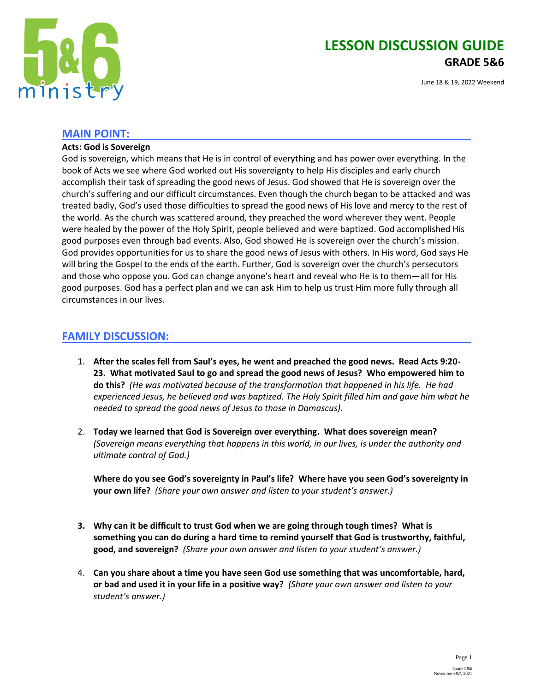

# **LESSON DISCUSSION GUIDE GRADE 5&6**

June 18 & 19, 2022 Weekend

## **MAIN POINT:**

#### **Acts: God is Sovereign**

God is sovereign, which means that He is in control of everything and has power over everything. In the book of Acts we see where God worked out His sovereignty to help His disciples and early church accomplish their task of spreading the good news of Jesus. God showed that He is sovereign over the church's suffering and our difficult circumstances. Even though the church began to be attacked and was treated badly, God's used those difficulties to spread the good news of His love and mercy to the rest of the world. As the church was scattered around, they preached the word wherever they went. People were healed by the power of the Holy Spirit, people believed and were baptized. God accomplished His good purposes even through bad events. Also, God showed He is sovereign over the church's mission. God provides opportunities for us to share the good news of Jesus with others. In His word, God says He will bring the Gospel to the ends of the earth. Further, God is sovereign over the church's persecutors and those who oppose you. God can change anyone's heart and reveal who He is to them—all for His good purposes. God has a perfect plan and we can ask Him to help us trust Him more fully through all circumstances in our lives.

# **FAMILY DISCUSSION:**

- 1. **After the scales fell from Saul's eyes, he went and preached the good news. Read Acts 9:20- 23. What motivated Saul to go and spread the good news of Jesus? Who empowered him to do this?** *(He was motivated because of the transformation that happened in his life. He had experienced Jesus, he believed and was baptized. The Holy Spirit filled him and gave him what he needed to spread the good news of Jesus to those in Damascus).*
- 2. **Today we learned that God is Sovereign over everything. What does sovereign mean?**  *(Sovereign means everything that happens in this world, in our lives, is under the authority and ultimate control of God.)*

**Where do you see God's sovereignty in Paul's life? Where have you seen God's sovereignty in your own life?** *(Share your own answer and listen to your student's answer.)*

- **3. Why can it be difficult to trust God when we are going through tough times? What is something you can do during a hard time to remind yourself that God is trustworthy, faithful, good, and sovereign?** *(Share your own answer and listen to your student's answer.)*
- 4. **Can you share about a time you have seen God use something that was uncomfortable, hard, or bad and used it in your life in a positive way?** *(Share your own answer and listen to your student's answer.)*